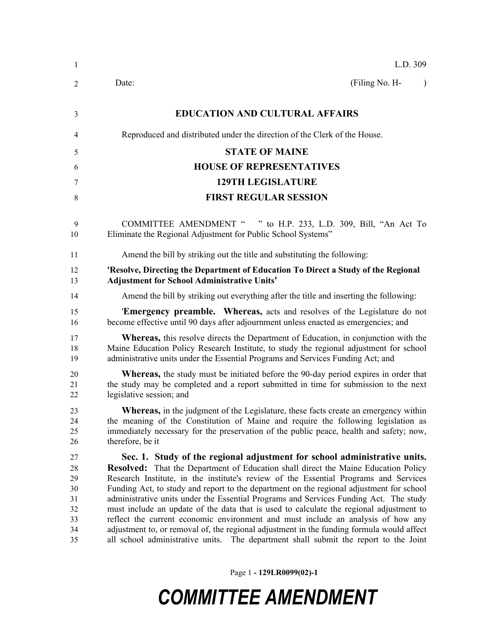| $\mathbf{1}$                                 | L.D. 309                                                                                                                                                                                                                                                                                                                                                                                                                                                                                                                                                                                                                                                                                                                 |
|----------------------------------------------|--------------------------------------------------------------------------------------------------------------------------------------------------------------------------------------------------------------------------------------------------------------------------------------------------------------------------------------------------------------------------------------------------------------------------------------------------------------------------------------------------------------------------------------------------------------------------------------------------------------------------------------------------------------------------------------------------------------------------|
| 2                                            | (Filing No. H-<br>Date:<br>$\lambda$                                                                                                                                                                                                                                                                                                                                                                                                                                                                                                                                                                                                                                                                                     |
| 3                                            | <b>EDUCATION AND CULTURAL AFFAIRS</b>                                                                                                                                                                                                                                                                                                                                                                                                                                                                                                                                                                                                                                                                                    |
| 4                                            | Reproduced and distributed under the direction of the Clerk of the House.                                                                                                                                                                                                                                                                                                                                                                                                                                                                                                                                                                                                                                                |
| 5                                            | <b>STATE OF MAINE</b>                                                                                                                                                                                                                                                                                                                                                                                                                                                                                                                                                                                                                                                                                                    |
| 6                                            | <b>HOUSE OF REPRESENTATIVES</b>                                                                                                                                                                                                                                                                                                                                                                                                                                                                                                                                                                                                                                                                                          |
| 7                                            | <b>129TH LEGISLATURE</b>                                                                                                                                                                                                                                                                                                                                                                                                                                                                                                                                                                                                                                                                                                 |
| 8                                            | <b>FIRST REGULAR SESSION</b>                                                                                                                                                                                                                                                                                                                                                                                                                                                                                                                                                                                                                                                                                             |
| 9<br>10                                      | <b>COMMITTEE AMENDMENT "</b><br>" to H.P. 233, L.D. 309, Bill, "An Act To<br>Eliminate the Regional Adjustment for Public School Systems"                                                                                                                                                                                                                                                                                                                                                                                                                                                                                                                                                                                |
| 11                                           | Amend the bill by striking out the title and substituting the following:                                                                                                                                                                                                                                                                                                                                                                                                                                                                                                                                                                                                                                                 |
| 12<br>13                                     | 'Resolve, Directing the Department of Education To Direct a Study of the Regional<br><b>Adjustment for School Administrative Units'</b>                                                                                                                                                                                                                                                                                                                                                                                                                                                                                                                                                                                  |
| 14                                           | Amend the bill by striking out everything after the title and inserting the following:                                                                                                                                                                                                                                                                                                                                                                                                                                                                                                                                                                                                                                   |
| 15<br>16                                     | <b>Emergency preamble.</b> Whereas, acts and resolves of the Legislature do not<br>become effective until 90 days after adjournment unless enacted as emergencies; and                                                                                                                                                                                                                                                                                                                                                                                                                                                                                                                                                   |
| 17<br>18<br>19                               | <b>Whereas,</b> this resolve directs the Department of Education, in conjunction with the<br>Maine Education Policy Research Institute, to study the regional adjustment for school<br>administrative units under the Essential Programs and Services Funding Act; and                                                                                                                                                                                                                                                                                                                                                                                                                                                   |
| 20<br>21<br>22                               | <b>Whereas</b> , the study must be initiated before the 90-day period expires in order that<br>the study may be completed and a report submitted in time for submission to the next<br>legislative session; and                                                                                                                                                                                                                                                                                                                                                                                                                                                                                                          |
| 23<br>24<br>25<br>26                         | <b>Whereas,</b> in the judgment of the Legislature, these facts create an emergency within<br>the meaning of the Constitution of Maine and require the following legislation as<br>immediately necessary for the preservation of the public peace, health and safety; now,<br>therefore, be it                                                                                                                                                                                                                                                                                                                                                                                                                           |
| 27<br>28<br>29<br>30<br>31<br>32<br>33<br>34 | Sec. 1. Study of the regional adjustment for school administrative units.<br>Resolved: That the Department of Education shall direct the Maine Education Policy<br>Research Institute, in the institute's review of the Essential Programs and Services<br>Funding Act, to study and report to the department on the regional adjustment for school<br>administrative units under the Essential Programs and Services Funding Act. The study<br>must include an update of the data that is used to calculate the regional adjustment to<br>reflect the current economic environment and must include an analysis of how any<br>adjustment to, or removal of, the regional adjustment in the funding formula would affect |

Page 1 **- 129LR0099(02)-1**

## *COMMITTEE AMENDMENT*